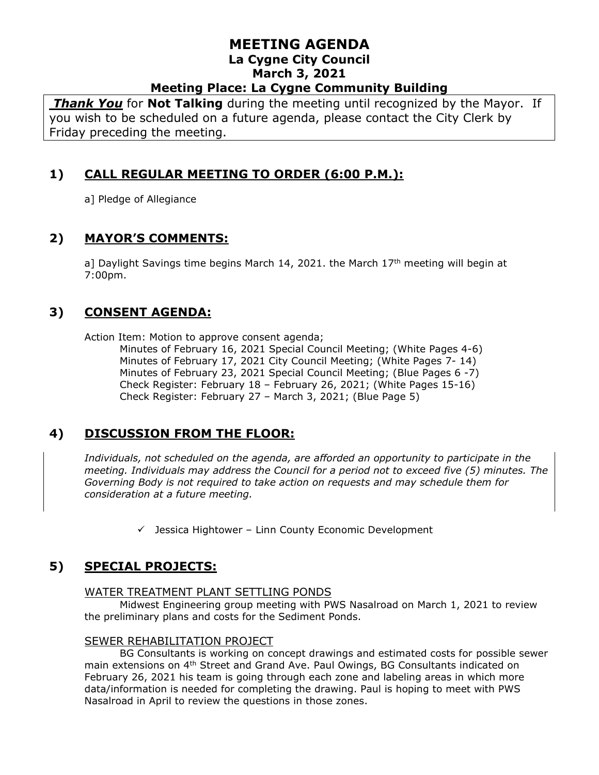*Thank You* for **Not Talking** during the meeting until recognized by the Mayor. If you wish to be scheduled on a future agenda, please contact the City Clerk by Friday preceding the meeting.

# **1) CALL REGULAR MEETING TO ORDER (6:00 P.M.):**

a] Pledge of Allegiance

# **2) MAYOR'S COMMENTS:**

a] Daylight Savings time begins March 14, 2021. the March  $17<sup>th</sup>$  meeting will begin at 7:00pm.

## **3) CONSENT AGENDA:**

Action Item: Motion to approve consent agenda;

Minutes of February 16, 2021 Special Council Meeting; (White Pages 4-6) Minutes of February 17, 2021 City Council Meeting; (White Pages 7- 14) Minutes of February 23, 2021 Special Council Meeting; (Blue Pages 6 -7) Check Register: February 18 – February 26, 2021; (White Pages 15-16) Check Register: February 27 – March 3, 2021; (Blue Page 5)

# **4) DISCUSSION FROM THE FLOOR:**

*Individuals, not scheduled on the agenda, are afforded an opportunity to participate in the meeting. Individuals may address the Council for a period not to exceed five (5) minutes. The Governing Body is not required to take action on requests and may schedule them for consideration at a future meeting.* 

 $\checkmark$  Jessica Hightower – Linn County Economic Development

# **5) SPECIAL PROJECTS:**

#### WATER TREATMENT PLANT SETTLING PONDS

Midwest Engineering group meeting with PWS Nasalroad on March 1, 2021 to review the preliminary plans and costs for the Sediment Ponds.

#### SEWER REHABILITATION PROJECT

BG Consultants is working on concept drawings and estimated costs for possible sewer main extensions on 4th Street and Grand Ave. Paul Owings, BG Consultants indicated on February 26, 2021 his team is going through each zone and labeling areas in which more data/information is needed for completing the drawing. Paul is hoping to meet with PWS Nasalroad in April to review the questions in those zones.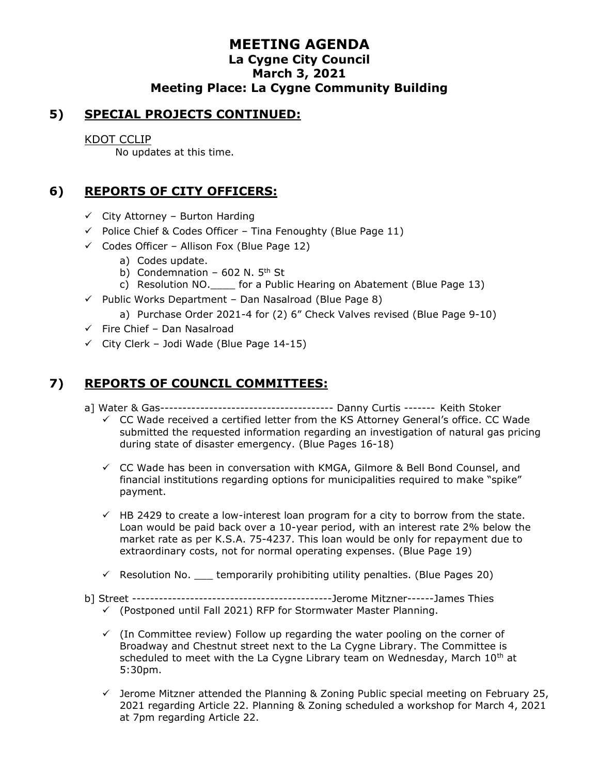#### **5) SPECIAL PROJECTS CONTINUED:**

#### KDOT CCLIP

No updates at this time.

## **6) REPORTS OF CITY OFFICERS:**

- $\checkmark$  City Attorney Burton Harding
- $\checkmark$  Police Chief & Codes Officer Tina Fenoughty (Blue Page 11)
- $\checkmark$  Codes Officer Allison Fox (Blue Page 12)
	- a) Codes update.
	- b) Condemnation  $-602$  N. 5<sup>th</sup> St
	- c) Resolution NO.\_\_\_\_ for a Public Hearing on Abatement (Blue Page 13)
- $\checkmark$  Public Works Department Dan Nasalroad (Blue Page 8)
	- a) Purchase Order 2021-4 for (2) 6" Check Valves revised (Blue Page 9-10)
- ✓ Fire Chief Dan Nasalroad
- $\checkmark$  City Clerk Jodi Wade (Blue Page 14-15)

# **7) REPORTS OF COUNCIL COMMITTEES:**

- a] Water & Gas--------------------------------------- Danny Curtis ------- Keith Stoker
	- ✓ CC Wade received a certified letter from the KS Attorney General's office. CC Wade submitted the requested information regarding an investigation of natural gas pricing during state of disaster emergency. (Blue Pages 16-18)
	- $\checkmark$  CC Wade has been in conversation with KMGA, Gilmore & Bell Bond Counsel, and financial institutions regarding options for municipalities required to make "spike" payment.
	- $\checkmark$  HB 2429 to create a low-interest loan program for a city to borrow from the state. Loan would be paid back over a 10-year period, with an interest rate 2% below the market rate as per K.S.A. 75-4237. This loan would be only for repayment due to extraordinary costs, not for normal operating expenses. (Blue Page 19)
	- $\checkmark$  Resolution No. \_\_\_\_ temporarily prohibiting utility penalties. (Blue Pages 20)
- b] Street ---------------------------------------------Jerome Mitzner------James Thies
	- $\checkmark$  (Postponed until Fall 2021) RFP for Stormwater Master Planning.
	- $\checkmark$  (In Committee review) Follow up regarding the water pooling on the corner of Broadway and Chestnut street next to the La Cygne Library. The Committee is scheduled to meet with the La Cygne Library team on Wednesday, March  $10<sup>th</sup>$  at 5:30pm.
	- $\checkmark$  Jerome Mitzner attended the Planning & Zoning Public special meeting on February 25, 2021 regarding Article 22. Planning & Zoning scheduled a workshop for March 4, 2021 at 7pm regarding Article 22.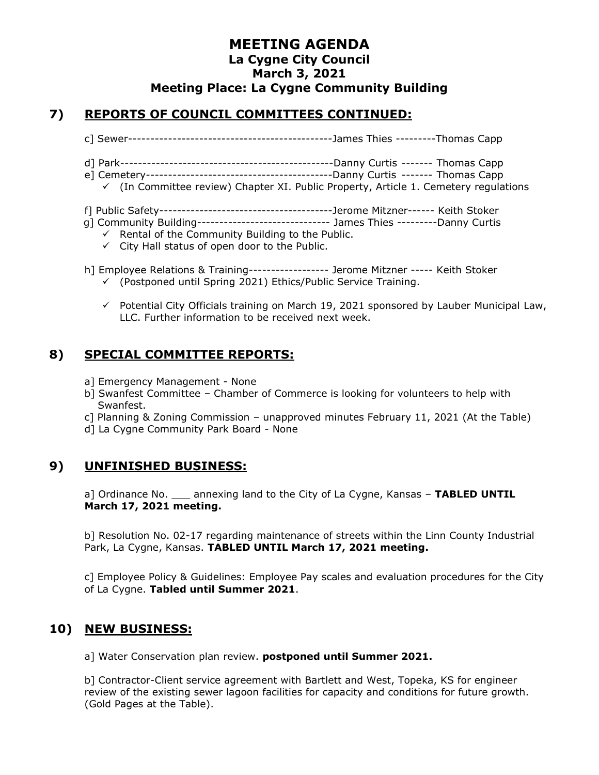#### **7) REPORTS OF COUNCIL COMMITTEES CONTINUED:**

- c] Sewer----------------------------------------------James Thies ---------Thomas Capp
- d] Park------------------------------------------------Danny Curtis ------- Thomas Capp
- e] Cemetery------------------------------------------Danny Curtis ------- Thomas Capp
- $\checkmark$  (In Committee review) Chapter XI. Public Property, Article 1. Cemetery regulations
- f] Public Safety---------------------------------------Jerome Mitzner------ Keith Stoker
- g] Community Building------------------------------ James Thies ---------Danny Curtis
	- $\checkmark$  Rental of the Community Building to the Public.
	- $\checkmark$  City Hall status of open door to the Public.
- h] Employee Relations & Training------------------ Jerome Mitzner ----- Keith Stoker  $\checkmark$  (Postponed until Spring 2021) Ethics/Public Service Training.
	- $\checkmark$  Potential City Officials training on March 19, 2021 sponsored by Lauber Municipal Law, LLC. Further information to be received next week.

# **8) SPECIAL COMMITTEE REPORTS:**

- a] Emergency Management None
- b] Swanfest Committee Chamber of Commerce is looking for volunteers to help with Swanfest.
- c] Planning & Zoning Commission unapproved minutes February 11, 2021 (At the Table)
- d] La Cygne Community Park Board None

#### **9) UNFINISHED BUSINESS:**

a] Ordinance No. \_\_\_ annexing land to the City of La Cygne, Kansas – **TABLED UNTIL March 17, 2021 meeting.**

b] Resolution No. 02-17 regarding maintenance of streets within the Linn County Industrial Park, La Cygne, Kansas. **TABLED UNTIL March 17, 2021 meeting.**

c] Employee Policy & Guidelines: Employee Pay scales and evaluation procedures for the City of La Cygne. **Tabled until Summer 2021**.

#### **10) NEW BUSINESS:**

a] Water Conservation plan review. **postponed until Summer 2021.**

b] Contractor-Client service agreement with Bartlett and West, Topeka, KS for engineer review of the existing sewer lagoon facilities for capacity and conditions for future growth. (Gold Pages at the Table).